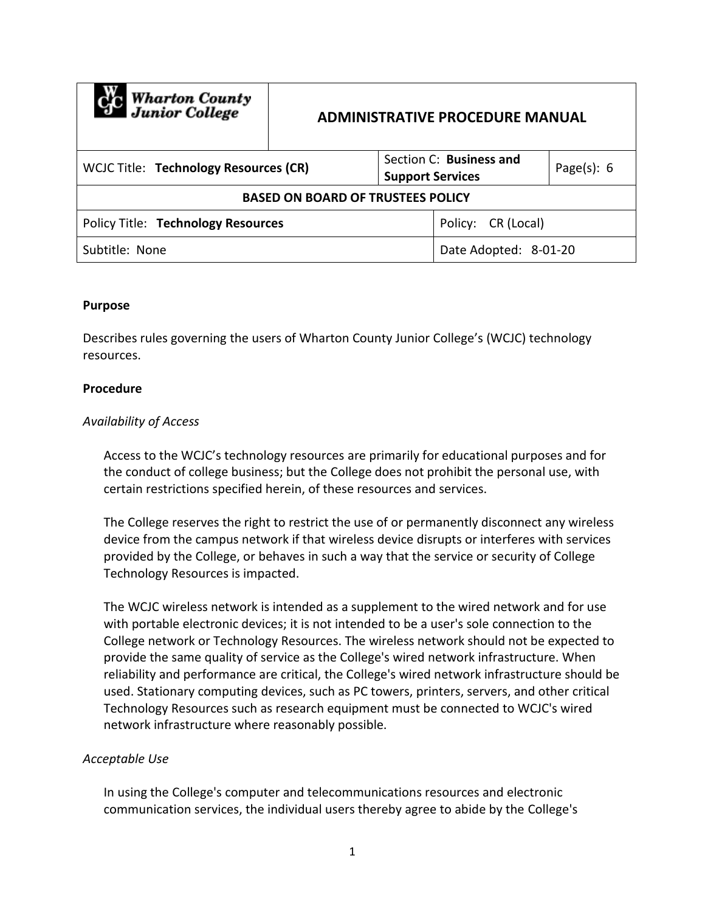| <b>Computer</b> Wharton County           | <b>ADMINISTRATIVE PROCEDURE MANUAL</b> |                         |                         |                |
|------------------------------------------|----------------------------------------|-------------------------|-------------------------|----------------|
| WCJC Title: Technology Resources (CR)    |                                        | <b>Support Services</b> | Section C: Business and | Page $(s)$ : 6 |
| <b>BASED ON BOARD OF TRUSTEES POLICY</b> |                                        |                         |                         |                |
| Policy Title: Technology Resources       |                                        |                         | Policy: CR (Local)      |                |
| Subtitle: None                           |                                        |                         | Date Adopted: 8-01-20   |                |

#### **Purpose**

Describes rules governing the users of Wharton County Junior College's (WCJC) technology resources.

#### **Procedure**

### *Availability of Access*

Access to the WCJC's technology resources are primarily for educational purposes and for the conduct of college business; but the College does not prohibit the personal use, with certain restrictions specified herein, of these resources and services.

The College reserves the right to restrict the use of or permanently disconnect any wireless device from the campus network if that wireless device disrupts or interferes with services provided by the College, or behaves in such a way that the service or security of College Technology Resources is impacted.

The WCJC wireless network is intended as a supplement to the wired network and for use with portable electronic devices; it is not intended to be a user's sole connection to the College network or Technology Resources. The wireless network should not be expected to provide the same quality of service as the College's wired network infrastructure. When reliability and performance are critical, the College's wired network infrastructure should be used. Stationary computing devices, such as PC towers, printers, servers, and other critical Technology Resources such as research equipment must be connected to WCJC's wired network infrastructure where reasonably possible.

### *Acceptable Use*

In using the College's computer and telecommunications resources and electronic communication services, the individual users thereby agree to abide by the College's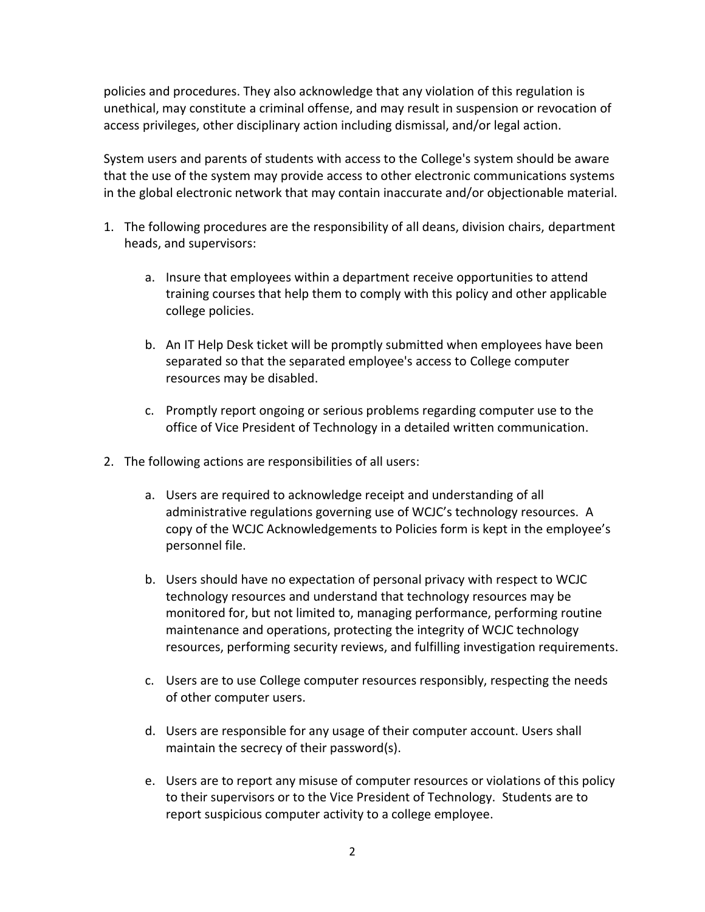policies and procedures. They also acknowledge that any violation of this regulation is unethical, may constitute a criminal offense, and may result in suspension or revocation of access privileges, other disciplinary action including dismissal, and/or legal action.

System users and parents of students with access to the College's system should be aware that the use of the system may provide access to other electronic communications systems in the global electronic network that may contain inaccurate and/or objectionable material.

- 1. The following procedures are the responsibility of all deans, division chairs, department heads, and supervisors:
	- a. Insure that employees within a department receive opportunities to attend training courses that help them to comply with this policy and other applicable college policies.
	- b. An IT Help Desk ticket will be promptly submitted when employees have been separated so that the separated employee's access to College computer resources may be disabled.
	- c. Promptly report ongoing or serious problems regarding computer use to the office of Vice President of Technology in a detailed written communication.
- 2. The following actions are responsibilities of all users:
	- a. Users are required to acknowledge receipt and understanding of all administrative regulations governing use of WCJC's technology resources. A copy of the WCJC Acknowledgements to Policies form is kept in the employee's personnel file.
	- b. Users should have no expectation of personal privacy with respect to WCJC technology resources and understand that technology resources may be monitored for, but not limited to, managing performance, performing routine maintenance and operations, protecting the integrity of WCJC technology resources, performing security reviews, and fulfilling investigation requirements.
	- c. Users are to use College computer resources responsibly, respecting the needs of other computer users.
	- d. Users are responsible for any usage of their computer account. Users shall maintain the secrecy of their password(s).
	- e. Users are to report any misuse of computer resources or violations of this policy to their supervisors or to the Vice President of Technology. Students are to report suspicious computer activity to a college employee.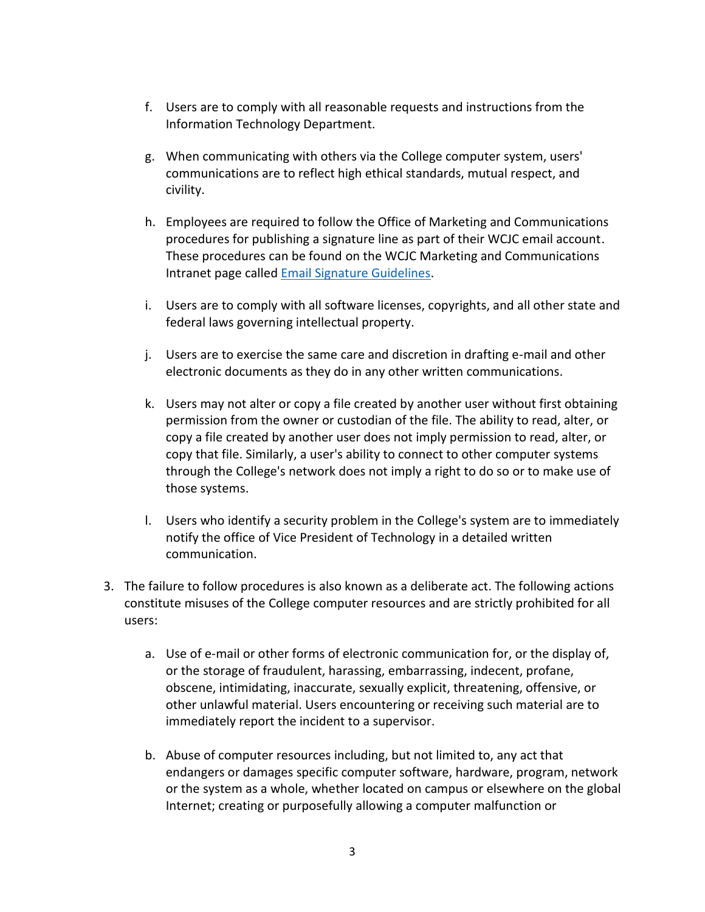- f. Users are to comply with all reasonable requests and instructions from the Information Technology Department.
- g. When communicating with others via the College computer system, users' communications are to reflect high ethical standards, mutual respect, and civility.
- h. Employees are required to follow the Office of Marketing and Communications procedures for publishing a signature line as part of their WCJC email account. These procedures can be found on the WCJC Marketing and Communications Intranet page called **Email Signature Guidelines**.
- i. Users are to comply with all software licenses, copyrights, and all other state and federal laws governing intellectual property.
- j. Users are to exercise the same care and discretion in drafting e-mail and other electronic documents as they do in any other written communications.
- k. Users may not alter or copy a file created by another user without first obtaining permission from the owner or custodian of the file. The ability to read, alter, or copy a file created by another user does not imply permission to read, alter, or copy that file. Similarly, a user's ability to connect to other computer systems through the College's network does not imply a right to do so or to make use of those systems.
- l. Users who identify a security problem in the College's system are to immediately notify the office of Vice President of Technology in a detailed written communication.
- 3. The failure to follow procedures is also known as a deliberate act. The following actions constitute misuses of the College computer resources and are strictly prohibited for all users:
	- a. Use of e-mail or other forms of electronic communication for, or the display of, or the storage of fraudulent, harassing, embarrassing, indecent, profane, obscene, intimidating, inaccurate, sexually explicit, threatening, offensive, or other unlawful material. Users encountering or receiving such material are to immediately report the incident to a supervisor.
	- b. Abuse of computer resources including, but not limited to, any act that endangers or damages specific computer software, hardware, program, network or the system as a whole, whether located on campus or elsewhere on the global Internet; creating or purposefully allowing a computer malfunction or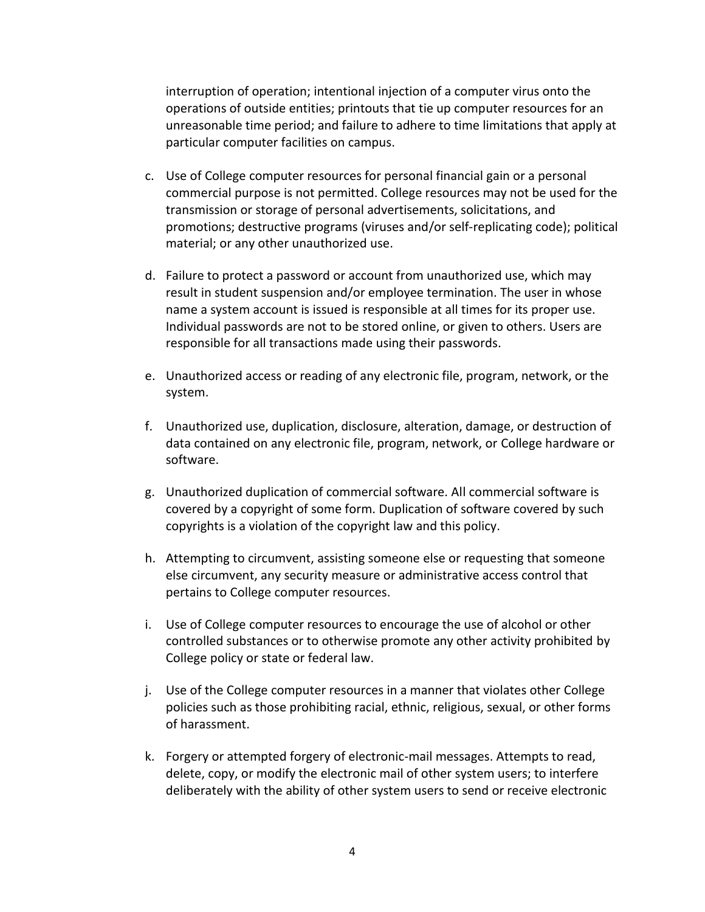interruption of operation; intentional injection of a computer virus onto the operations of outside entities; printouts that tie up computer resources for an unreasonable time period; and failure to adhere to time limitations that apply at particular computer facilities on campus.

- c. Use of College computer resources for personal financial gain or a personal commercial purpose is not permitted. College resources may not be used for the transmission or storage of personal advertisements, solicitations, and promotions; destructive programs (viruses and/or self-replicating code); political material; or any other unauthorized use.
- d. Failure to protect a password or account from unauthorized use, which may result in student suspension and/or employee termination. The user in whose name a system account is issued is responsible at all times for its proper use. Individual passwords are not to be stored online, or given to others. Users are responsible for all transactions made using their passwords.
- e. Unauthorized access or reading of any electronic file, program, network, or the system.
- f. Unauthorized use, duplication, disclosure, alteration, damage, or destruction of data contained on any electronic file, program, network, or College hardware or software.
- g. Unauthorized duplication of commercial software. All commercial software is covered by a copyright of some form. Duplication of software covered by such copyrights is a violation of the copyright law and this policy.
- h. Attempting to circumvent, assisting someone else or requesting that someone else circumvent, any security measure or administrative access control that pertains to College computer resources.
- i. Use of College computer resources to encourage the use of alcohol or other controlled substances or to otherwise promote any other activity prohibited by College policy or state or federal law.
- j. Use of the College computer resources in a manner that violates other College policies such as those prohibiting racial, ethnic, religious, sexual, or other forms of harassment.
- k. Forgery or attempted forgery of electronic-mail messages. Attempts to read, delete, copy, or modify the electronic mail of other system users; to interfere deliberately with the ability of other system users to send or receive electronic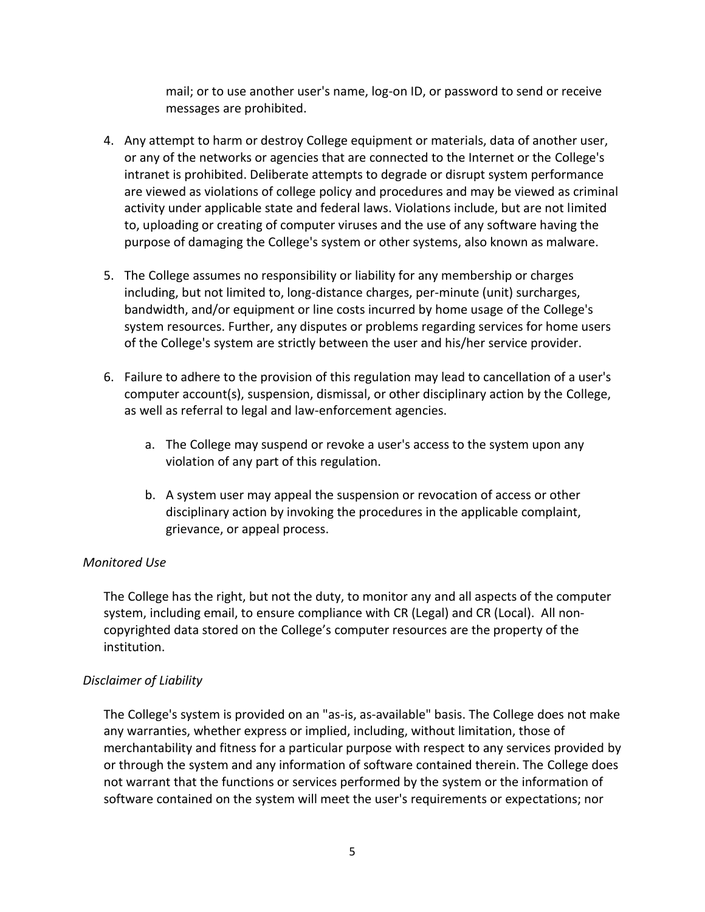mail; or to use another user's name, log-on ID, or password to send or receive messages are prohibited.

- 4. Any attempt to harm or destroy College equipment or materials, data of another user, or any of the networks or agencies that are connected to the Internet or the College's intranet is prohibited. Deliberate attempts to degrade or disrupt system performance are viewed as violations of college policy and procedures and may be viewed as criminal activity under applicable state and federal laws. Violations include, but are not limited to, uploading or creating of computer viruses and the use of any software having the purpose of damaging the College's system or other systems, also known as malware.
- 5. The College assumes no responsibility or liability for any membership or charges including, but not limited to, long-distance charges, per-minute (unit) surcharges, bandwidth, and/or equipment or line costs incurred by home usage of the College's system resources. Further, any disputes or problems regarding services for home users of the College's system are strictly between the user and his/her service provider.
- 6. Failure to adhere to the provision of this regulation may lead to cancellation of a user's computer account(s), suspension, dismissal, or other disciplinary action by the College, as well as referral to legal and law-enforcement agencies.
	- a. The College may suspend or revoke a user's access to the system upon any violation of any part of this regulation.
	- b. A system user may appeal the suspension or revocation of access or other disciplinary action by invoking the procedures in the applicable complaint, grievance, or appeal process.

# *Monitored Use*

The College has the right, but not the duty, to monitor any and all aspects of the computer system, including email, to ensure compliance with CR (Legal) and CR (Local). All noncopyrighted data stored on the College's computer resources are the property of the institution.

# *Disclaimer of Liability*

The College's system is provided on an "as-is, as-available" basis. The College does not make any warranties, whether express or implied, including, without limitation, those of merchantability and fitness for a particular purpose with respect to any services provided by or through the system and any information of software contained therein. The College does not warrant that the functions or services performed by the system or the information of software contained on the system will meet the user's requirements or expectations; nor